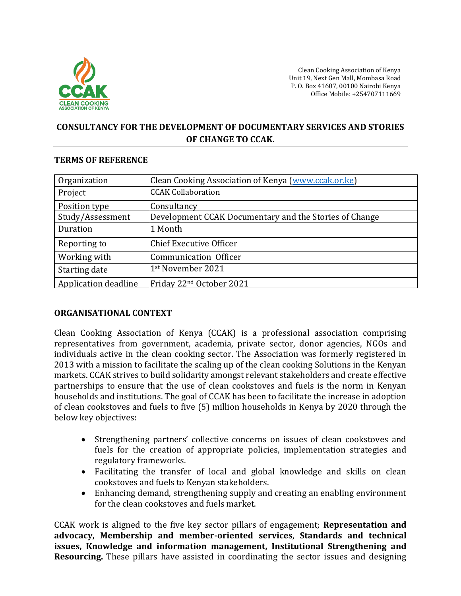

Clean Cooking Association of Kenya Unit 19, Next Gen Mall, Mombasa Road P. O. Box 41607, 00100 Nairobi Kenya Office Mobile: +254707111669

# **CONSULTANCY FOR THE DEVELOPMENT OF DOCUMENTARY SERVICES AND STORIES OF CHANGE TO CCAK.**

| Organization         | Clean Cooking Association of Kenya (www.ccak.or.ke)    |
|----------------------|--------------------------------------------------------|
| Project              | <b>CCAK Collaboration</b>                              |
| Position type        | Consultancy                                            |
| Study/Assessment     | Development CCAK Documentary and the Stories of Change |
| Duration             | 1 Month                                                |
| Reporting to         | Chief Executive Officer                                |
| Working with         | Communication Officer                                  |
| Starting date        | 1st November 2021                                      |
| Application deadline | Friday 22 <sup>nd</sup> October 2021                   |

#### **TERMS OF REFERENCE**

#### **ORGANISATIONAL CONTEXT**

Clean Cooking Association of Kenya (CCAK) is a professional association comprising representatives from government, academia, private sector, donor agencies, NGOs and individuals active in the clean cooking sector. The Association was formerly registered in 2013 with a mission to facilitate the scaling up of the clean cooking Solutions in the Kenyan markets. CCAK strives to build solidarity amongst relevant stakeholders and create effective partnerships to ensure that the use of clean cookstoves and fuels is the norm in Kenyan households and institutions. The goal of CCAK has been to facilitate the increase in adoption of clean cookstoves and fuels to five (5) million households in Kenya by 2020 through the below key objectives:

- Strengthening partners' collective concerns on issues of clean cookstoves and fuels for the creation of appropriate policies, implementation strategies and regulatory frameworks.
- Facilitating the transfer of local and global knowledge and skills on clean cookstoves and fuels to Kenyan stakeholders.
- Enhancing demand, strengthening supply and creating an enabling environment for the clean cookstoves and fuels market.

CCAK work is aligned to the five key sector pillars of engagement; **Representation and advocacy, Membership and member-oriented services**, **Standards and technical issues, Knowledge and information management, Institutional Strengthening and Resourcing.** These pillars have assisted in coordinating the sector issues and designing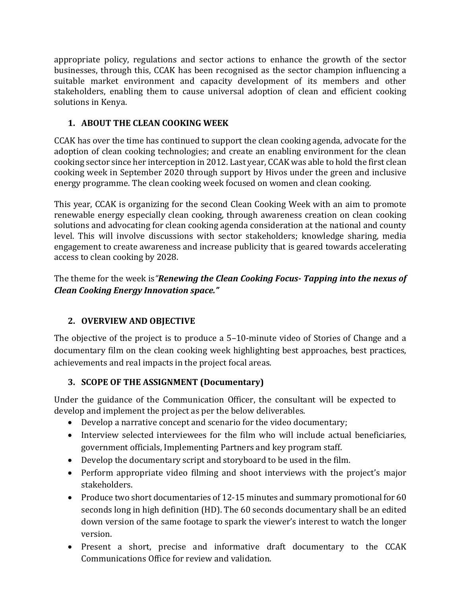appropriate policy, regulations and sector actions to enhance the growth of the sector businesses, through this, CCAK has been recognised as the sector champion influencing a suitable market environment and capacity development of its members and other stakeholders, enabling them to cause universal adoption of clean and efficient cooking solutions in Kenya.

# **1. ABOUT THE CLEAN COOKING WEEK**

CCAK has over the time has continued to support the clean cooking agenda, advocate for the adoption of clean cooking technologies; and create an enabling environment for the clean cooking sector since her interception in 2012. Last year, CCAK was able to hold the first clean cooking week in September 2020 through support by Hivos under the green and inclusive energy programme. The clean cooking week focused on women and clean cooking.

This year, CCAK is organizing for the second Clean Cooking Week with an aim to promote renewable energy especially clean cooking, through awareness creation on clean cooking solutions and advocating for clean cooking agenda consideration at the national and county level. This will involve discussions with sector stakeholders; knowledge sharing, media engagement to create awareness and increase publicity that is geared towards accelerating access to clean cooking by 2028.

The theme for the week is*"Renewing the Clean Cooking Focus- Tapping into the nexus of Clean Cooking Energy Innovation space."*

# **2. OVERVIEW AND OBJECTIVE**

The objective of the project is to produce a 5–10-minute video of Stories of Change and a documentary film on the clean cooking week highlighting best approaches, best practices, achievements and real impacts in the project focal areas.

# **3. SCOPE OF THE ASSIGNMENT (Documentary)**

Under the guidance of the Communication Officer, the consultant will be expected to develop and implement the project as per the below deliverables.

- Develop a narrative concept and scenario for the video documentary;
- Interview selected interviewees for the film who will include actual beneficiaries, government officials, Implementing Partners and key program staff.
- Develop the documentary script and storyboard to be used in the film.
- Perform appropriate video filming and shoot interviews with the project's major stakeholders.
- Produce two short documentaries of 12-15 minutes and summary promotional for 60 seconds long in high definition (HD). The 60 seconds documentary shall be an edited down version of the same footage to spark the viewer's interest to watch the longer version.
- Present a short, precise and informative draft documentary to the CCAK Communications Office for review and validation.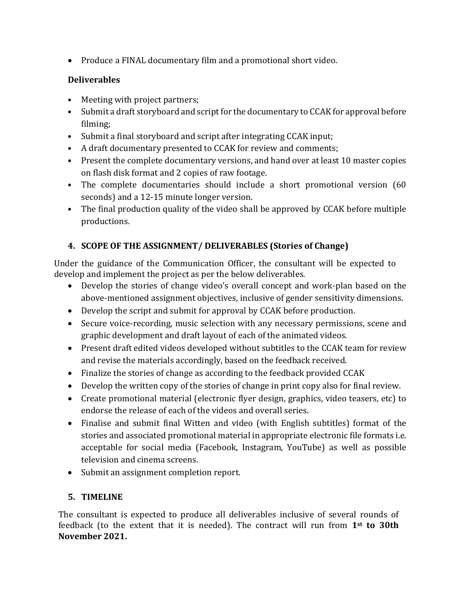• Produce a FINAL documentary film and a promotional short video.

#### **Deliverables**

- Meeting with project partners;
- Submit a draft storyboard and script for the documentary to CCAK for approval before filming;
- Submit a final storyboard and script after integrating CCAK input;
- A draft documentary presented to CCAK for review and comments;
- Present the complete documentary versions, and hand over at least 10 master copies on flash disk format and 2 copies of raw footage.
- The complete documentaries should include a short promotional version (60 seconds) and a 12-15 minute longer version.
- The final production quality of the video shall be approved by CCAK before multiple productions.

#### **4. SCOPE OF THE ASSIGNMENT/ DELIVERABLES (Stories of Change)**

Under the guidance of the Communication Officer, the consultant will be expected to develop and implement the project as per the below deliverables.

- Develop the stories of change video's overall concept and work-plan based on the above-mentioned assignment objectives, inclusive of gender sensitivity dimensions.
- Develop the script and submit for approval by CCAK before production.
- Secure voice-recording, music selection with any necessary permissions, scene and graphic development and draft layout of each of the animated videos.
- Present draft edited videos developed without subtitles to the CCAK team for review and revise the materials accordingly, based on the feedback received.
- Finalize the stories of change as according to the feedback provided CCAK
- Develop the written copy of the stories of change in print copy also for final review.
- Create promotional material (electronic flyer design, graphics, video teasers, etc) to endorse the release of each of the videos and overall series.
- Finalise and submit final Witten and video (with English subtitles) format of the stories and associated promotional material in appropriate electronic file formats i.e. acceptable for social media (Facebook, Instagram, YouTube) as well as possible television and cinema screens.
- Submit an assignment completion report.

# **5. TIMELINE**

The consultant is expected to produce all deliverables inclusive of several rounds of feedback (to the extent that it is needed). The contract will run from **1st to 30th November 2021.**